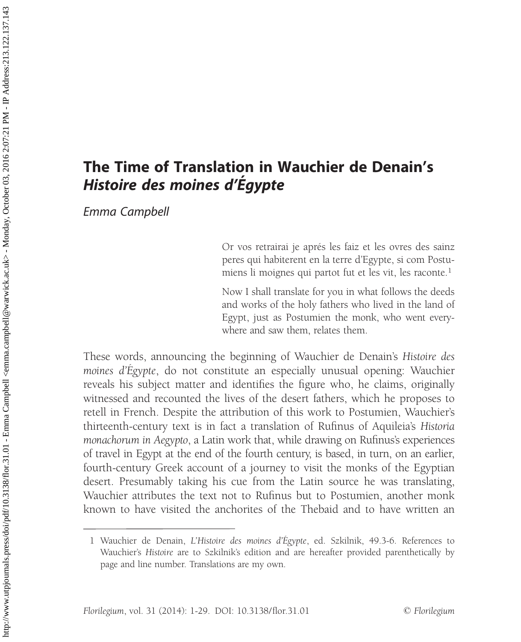# The Time of Translation in Wauchier de Denain's Histoire des moines d'Egypte

Emma Campbell

Or vos retrairai je aprés les faiz et les ovres des sainz peres qui habiterent en la terre d'Egypte, si com Postumiens li moignes qui partot fut et les vit, les raconte.<sup>1</sup>

Now I shall translate for you in what follows the deeds and works of the holy fathers who lived in the land of Egypt, just as Postumien the monk, who went everywhere and saw them, relates them.

These words, announcing the beginning of Wauchier de Denain's Histoire des moines d'Egypte, do not constitute an especially unusual opening: Wauchier reveals his subject matter and identifies the figure who, he claims, originally witnessed and recounted the lives of the desert fathers, which he proposes to retell in French. Despite the attribution of this work to Postumien, Wauchier's thirteenth-century text is in fact a translation of Rufinus of Aquileia's Historia monachorum in Aegypto, a Latin work that, while drawing on Rufinus's experiences of travel in Egypt at the end of the fourth century, is based, in turn, on an earlier, fourth-century Greek account of a journey to visit the monks of the Egyptian desert. Presumably taking his cue from the Latin source he was translating, Wauchier attributes the text not to Rufinus but to Postumien, another monk known to have visited the anchorites of the Thebaid and to have written an

<sup>1</sup> Wauchier de Denain, L'Histoire des moines d'Égypte, ed. Szkilnik, 49.3-6. References to Wauchier's Histoire are to Szkilnik's edition and are hereafter provided parenthetically by page and line number. Translations are my own.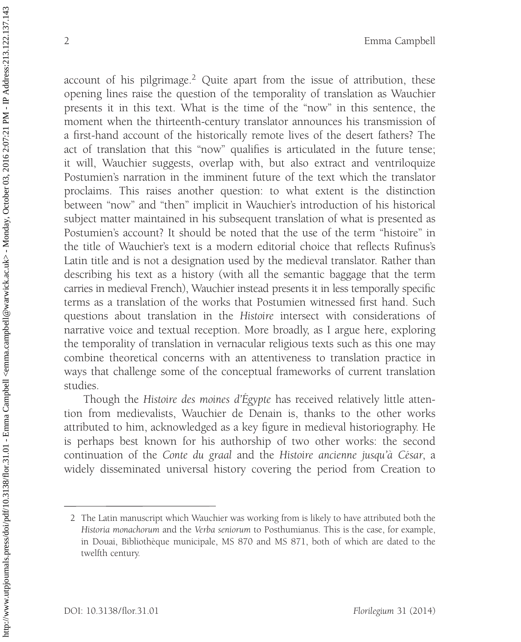account of his pilgrimage.<sup>2</sup> Quite apart from the issue of attribution, these opening lines raise the question of the temporality of translation as Wauchier presents it in this text. What is the time of the ''now'' in this sentence, the moment when the thirteenth-century translator announces his transmission of a first-hand account of the historically remote lives of the desert fathers? The act of translation that this ''now'' qualifies is articulated in the future tense; it will, Wauchier suggests, overlap with, but also extract and ventriloquize Postumien's narration in the imminent future of the text which the translator proclaims. This raises another question: to what extent is the distinction between "now" and "then" implicit in Wauchier's introduction of his historical subject matter maintained in his subsequent translation of what is presented as Postumien's account? It should be noted that the use of the term ''histoire'' in the title of Wauchier's text is a modern editorial choice that reflects Rufinus's Latin title and is not a designation used by the medieval translator. Rather than describing his text as a history (with all the semantic baggage that the term carries in medieval French), Wauchier instead presents it in less temporally specific terms as a translation of the works that Postumien witnessed first hand. Such questions about translation in the Histoire intersect with considerations of narrative voice and textual reception. More broadly, as I argue here, exploring the temporality of translation in vernacular religious texts such as this one may combine theoretical concerns with an attentiveness to translation practice in ways that challenge some of the conceptual frameworks of current translation studies.

Though the Histoire des moines d'Égypte has received relatively little attention from medievalists, Wauchier de Denain is, thanks to the other works attributed to him, acknowledged as a key figure in medieval historiography. He is perhaps best known for his authorship of two other works: the second continuation of the *Conte du graal* and the *Histoire ancienne jusqu'a César*, a widely disseminated universal history covering the period from Creation to

<sup>2</sup> The Latin manuscript which Wauchier was working from is likely to have attributed both the Historia monachorum and the Verba seniorum to Posthumianus. This is the case, for example, in Douai, Bibliothèque municipale, MS 870 and MS 871, both of which are dated to the twelfth century.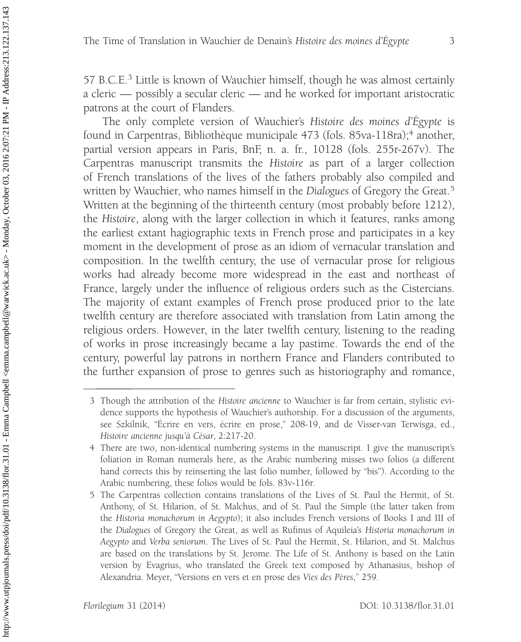57 B.C.E.<sup>3</sup> Little is known of Wauchier himself, though he was almost certainly a cleric — possibly a secular cleric — and he worked for important aristocratic patrons at the court of Flanders.

The only complete version of Wauchier's Histoire des moines d'Égypte is found in Carpentras, Bibliothèque municipale 473 (fols. 85va-118ra);<sup>4</sup> another, partial version appears in Paris, BnF, n. a. fr., 10128 (fols. 255r-267v). The Carpentras manuscript transmits the Histoire as part of a larger collection of French translations of the lives of the fathers probably also compiled and written by Wauchier, who names himself in the Dialogues of Gregory the Great.<sup>5</sup> Written at the beginning of the thirteenth century (most probably before 1212), the Histoire, along with the larger collection in which it features, ranks among the earliest extant hagiographic texts in French prose and participates in a key moment in the development of prose as an idiom of vernacular translation and composition. In the twelfth century, the use of vernacular prose for religious works had already become more widespread in the east and northeast of France, largely under the influence of religious orders such as the Cistercians. The majority of extant examples of French prose produced prior to the late twelfth century are therefore associated with translation from Latin among the religious orders. However, in the later twelfth century, listening to the reading of works in prose increasingly became a lay pastime. Towards the end of the century, powerful lay patrons in northern France and Flanders contributed to the further expansion of prose to genres such as historiography and romance,

<sup>3</sup> Though the attribution of the Histoire ancienne to Wauchier is far from certain, stylistic evidence supports the hypothesis of Wauchier's authorship. For a discussion of the arguments, see Szkilnik, "Écrire en vers, écrire en prose," 208-19, and de Visser-van Terwisga, ed., Histoire ancienne jusqu'à César, 2:217-20.

<sup>4</sup> There are two, non-identical numbering systems in the manuscript. I give the manuscript's foliation in Roman numerals here, as the Arabic numbering misses two folios (a different hand corrects this by reinserting the last folio number, followed by "bis"). According to the Arabic numbering, these folios would be fols. 83v-116r.

<sup>5</sup> The Carpentras collection contains translations of the Lives of St. Paul the Hermit, of St. Anthony, of St. Hilarion, of St. Malchus, and of St. Paul the Simple (the latter taken from the Historia monachorum in Aegypto); it also includes French versions of Books I and III of the Dialogues of Gregory the Great, as well as Rufinus of Aquileia's Historia monachorum in Aegypto and Verba seniorum. The Lives of St. Paul the Hermit, St. Hilarion, and St. Malchus are based on the translations by St. Jerome. The Life of St. Anthony is based on the Latin version by Evagrius, who translated the Greek text composed by Athanasius, bishop of Alexandria. Meyer, "Versions en vers et en prose des Vies des Pères," 259.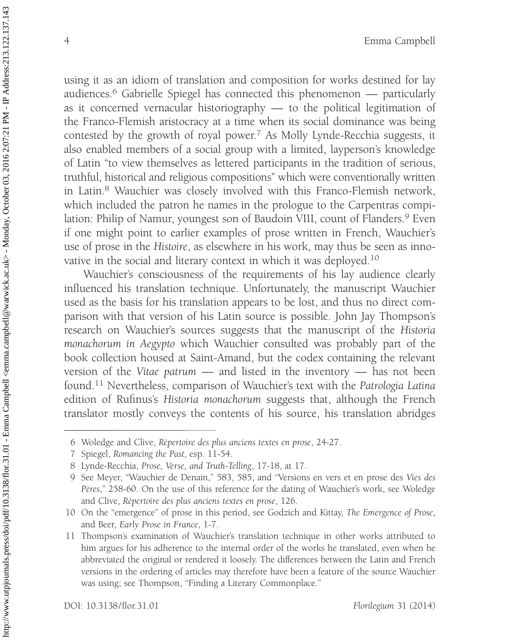using it as an idiom of translation and composition for works destined for lay audiences.<sup>6</sup> Gabrielle Spiegel has connected this phenomenon — particularly as it concerned vernacular historiography — to the political legitimation of the Franco-Flemish aristocracy at a time when its social dominance was being contested by the growth of royal power.<sup>7</sup> As Molly Lynde-Recchia suggests, it also enabled members of a social group with a limited, layperson's knowledge of Latin ''to view themselves as lettered participants in the tradition of serious, truthful, historical and religious compositions'' which were conventionally written in Latin.8 Wauchier was closely involved with this Franco-Flemish network, which included the patron he names in the prologue to the Carpentras compilation: Philip of Namur, youngest son of Baudoin VIII, count of Flanders.<sup>9</sup> Even if one might point to earlier examples of prose written in French, Wauchier's use of prose in the Histoire, as elsewhere in his work, may thus be seen as innovative in the social and literary context in which it was deployed.10

Wauchier's consciousness of the requirements of his lay audience clearly influenced his translation technique. Unfortunately, the manuscript Wauchier used as the basis for his translation appears to be lost, and thus no direct comparison with that version of his Latin source is possible. John Jay Thompson's research on Wauchier's sources suggests that the manuscript of the Historia monachorum in Aegypto which Wauchier consulted was probably part of the book collection housed at Saint-Amand, but the codex containing the relevant version of the Vitae patrum — and listed in the inventory — has not been found.11 Nevertheless, comparison of Wauchier's text with the Patrologia Latina edition of Rufinus's Historia monachorum suggests that, although the French translator mostly conveys the contents of his source, his translation abridges

<sup>6</sup> Woledge and Clive, Répertoire des plus anciens textes en prose, 24-27.

<sup>7</sup> Spiegel, Romancing the Past, esp. 11-54.

<sup>8</sup> Lynde-Recchia, Prose, Verse, and Truth-Telling, 17-18, at 17.

<sup>9</sup> See Meyer, ''Wauchier de Denain,'' 583, 585, and ''Versions en vers et en prose des Vies des Peres," 258-60. On the use of this reference for the dating of Wauchier's work, see Woledge and Clive, Répertoire des plus anciens textes en prose, 126.

<sup>10</sup> On the "emergence" of prose in this period, see Godzich and Kittay, The Emergence of Prose, and Beer, Early Prose in France, 1-7.

<sup>11</sup> Thompson's examination of Wauchier's translation technique in other works attributed to him argues for his adherence to the internal order of the works he translated, even when he abbreviated the original or rendered it loosely. The differences between the Latin and French versions in the ordering of articles may therefore have been a feature of the source Wauchier was using; see Thompson, "Finding a Literary Commonplace."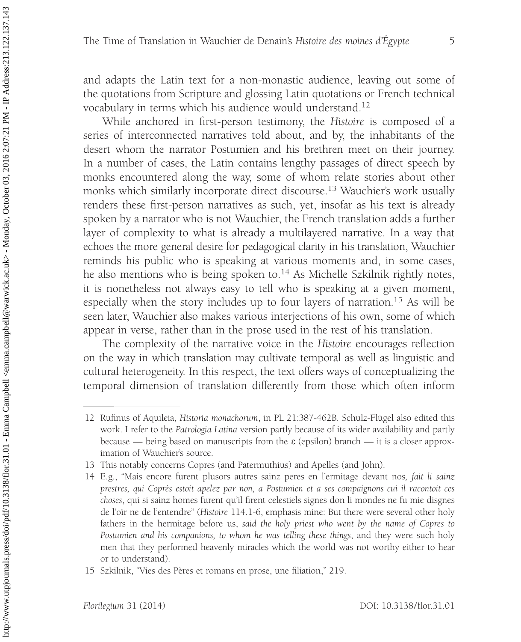and adapts the Latin text for a non-monastic audience, leaving out some of the quotations from Scripture and glossing Latin quotations or French technical vocabulary in terms which his audience would understand.12

While anchored in first-person testimony, the Histoire is composed of a series of interconnected narratives told about, and by, the inhabitants of the desert whom the narrator Postumien and his brethren meet on their journey. In a number of cases, the Latin contains lengthy passages of direct speech by monks encountered along the way, some of whom relate stories about other monks which similarly incorporate direct discourse.13 Wauchier's work usually renders these first-person narratives as such, yet, insofar as his text is already spoken by a narrator who is not Wauchier, the French translation adds a further layer of complexity to what is already a multilayered narrative. In a way that echoes the more general desire for pedagogical clarity in his translation, Wauchier reminds his public who is speaking at various moments and, in some cases, he also mentions who is being spoken to.<sup>14</sup> As Michelle Szkilnik rightly notes, it is nonetheless not always easy to tell who is speaking at a given moment, especially when the story includes up to four layers of narration.<sup>15</sup> As will be seen later, Wauchier also makes various interjections of his own, some of which appear in verse, rather than in the prose used in the rest of his translation.

The complexity of the narrative voice in the Histoire encourages reflection on the way in which translation may cultivate temporal as well as linguistic and cultural heterogeneity. In this respect, the text offers ways of conceptualizing the temporal dimension of translation differently from those which often inform

<sup>12</sup> Rufinus of Aquileia, Historia monachorum, in PL 21:387-462B. Schulz-Flügel also edited this work. I refer to the Patrologia Latina version partly because of its wider availability and partly because — being based on manuscripts from the  $\varepsilon$  (epsilon) branch — it is a closer approximation of Wauchier's source.

<sup>13</sup> This notably concerns Copres (and Patermuthius) and Apelles (and John).

<sup>14</sup> E.g., ''Mais encore furent plusors autres sainz peres en l'ermitage devant nos, fait li sainz prestres, qui Coprés estoit apelez par non, a Postumien et a ses compaignons cui il racontoit ces choses, qui si sainz homes furent qu'il firent celestiels signes don li mondes ne fu mie disgnes de l'oïr ne de l'entendre" (Histoire 114.1-6, emphasis mine: But there were several other holy fathers in the hermitage before us, said the holy priest who went by the name of Copres to Postumien and his companions, to whom he was telling these things, and they were such holy men that they performed heavenly miracles which the world was not worthy either to hear or to understand).

<sup>15</sup> Szkilnik, "Vies des Pères et romans en prose, une filiation," 219.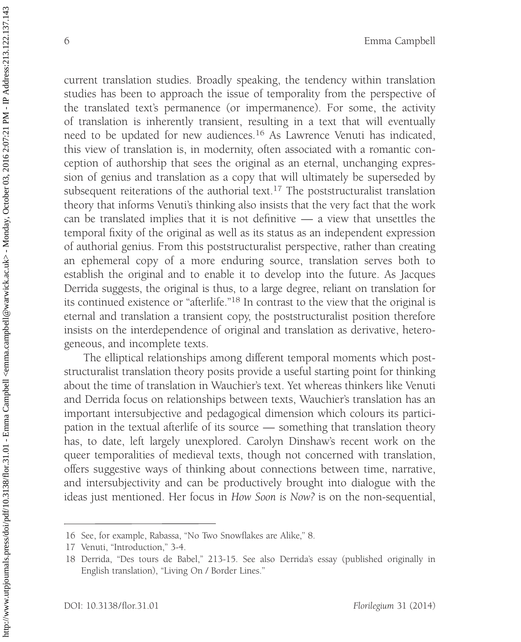current translation studies. Broadly speaking, the tendency within translation studies has been to approach the issue of temporality from the perspective of the translated text's permanence (or impermanence). For some, the activity of translation is inherently transient, resulting in a text that will eventually need to be updated for new audiences.<sup>16</sup> As Lawrence Venuti has indicated, this view of translation is, in modernity, often associated with a romantic conception of authorship that sees the original as an eternal, unchanging expression of genius and translation as a copy that will ultimately be superseded by subsequent reiterations of the authorial text.<sup>17</sup> The poststructuralist translation theory that informs Venuti's thinking also insists that the very fact that the work can be translated implies that it is not definitive — a view that unsettles the temporal fixity of the original as well as its status as an independent expression of authorial genius. From this poststructuralist perspective, rather than creating an ephemeral copy of a more enduring source, translation serves both to establish the original and to enable it to develop into the future. As Jacques Derrida suggests, the original is thus, to a large degree, reliant on translation for its continued existence or "afterlife."<sup>18</sup> In contrast to the view that the original is eternal and translation a transient copy, the poststructuralist position therefore insists on the interdependence of original and translation as derivative, heterogeneous, and incomplete texts.

The elliptical relationships among different temporal moments which poststructuralist translation theory posits provide a useful starting point for thinking about the time of translation in Wauchier's text. Yet whereas thinkers like Venuti and Derrida focus on relationships between texts, Wauchier's translation has an important intersubjective and pedagogical dimension which colours its participation in the textual afterlife of its source — something that translation theory has, to date, left largely unexplored. Carolyn Dinshaw's recent work on the queer temporalities of medieval texts, though not concerned with translation, offers suggestive ways of thinking about connections between time, narrative, and intersubjectivity and can be productively brought into dialogue with the ideas just mentioned. Her focus in How Soon is Now? is on the non-sequential,

<sup>16</sup> See, for example, Rabassa, ''No Two Snowflakes are Alike,'' 8.

<sup>17</sup> Venuti, "Introduction," 3-4.

<sup>18</sup> Derrida, "Des tours de Babel," 213-15. See also Derrida's essay (published originally in English translation), "Living On / Border Lines."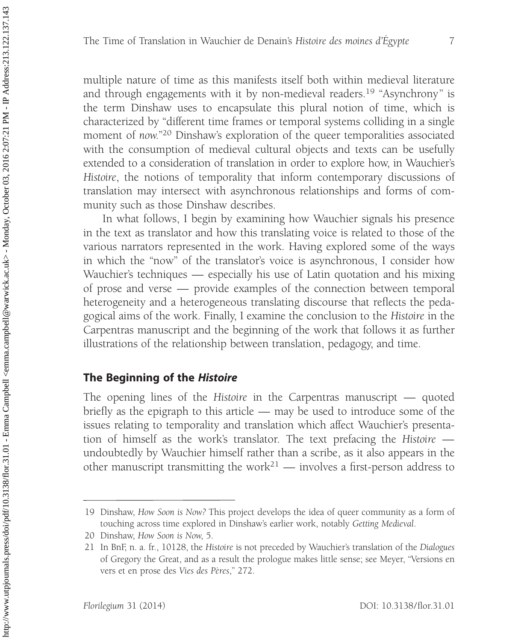multiple nature of time as this manifests itself both within medieval literature and through engagements with it by non-medieval readers.<sup>19</sup> "Asynchrony" is the term Dinshaw uses to encapsulate this plural notion of time, which is characterized by ''different time frames or temporal systems colliding in a single moment of now."<sup>20</sup> Dinshaw's exploration of the queer temporalities associated with the consumption of medieval cultural objects and texts can be usefully extended to a consideration of translation in order to explore how, in Wauchier's Histoire, the notions of temporality that inform contemporary discussions of translation may intersect with asynchronous relationships and forms of community such as those Dinshaw describes.

In what follows, I begin by examining how Wauchier signals his presence in the text as translator and how this translating voice is related to those of the various narrators represented in the work. Having explored some of the ways in which the ''now'' of the translator's voice is asynchronous, I consider how Wauchier's techniques — especially his use of Latin quotation and his mixing of prose and verse — provide examples of the connection between temporal heterogeneity and a heterogeneous translating discourse that reflects the pedagogical aims of the work. Finally, I examine the conclusion to the Histoire in the Carpentras manuscript and the beginning of the work that follows it as further illustrations of the relationship between translation, pedagogy, and time.

# The Beginning of the Histoire

The opening lines of the Histoire in the Carpentras manuscript — quoted briefly as the epigraph to this article — may be used to introduce some of the issues relating to temporality and translation which affect Wauchier's presentation of himself as the work's translator. The text prefacing the Histoire undoubtedly by Wauchier himself rather than a scribe, as it also appears in the other manuscript transmitting the work<sup>21</sup> — involves a first-person address to

<sup>19</sup> Dinshaw, How Soon is Now? This project develops the idea of queer community as a form of touching across time explored in Dinshaw's earlier work, notably Getting Medieval.

<sup>20</sup> Dinshaw, How Soon is Now, 5.

<sup>21</sup> In BnF, n. a. fr., 10128, the Histoire is not preceded by Wauchier's translation of the Dialogues of Gregory the Great, and as a result the prologue makes little sense; see Meyer, ''Versions en vers et en prose des Vies des Pères," 272.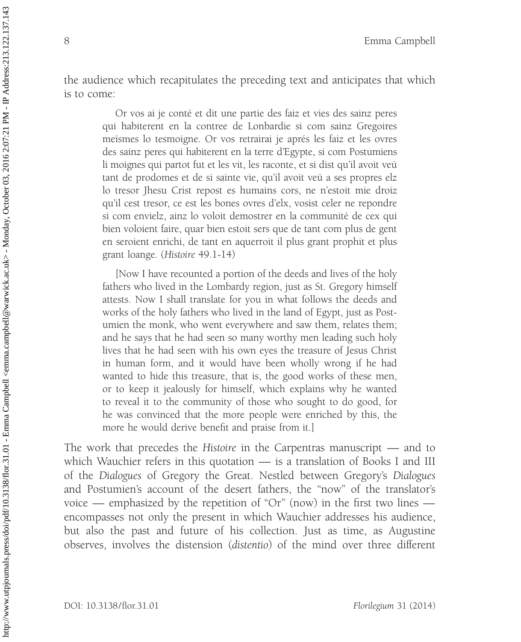the audience which recapitulates the preceding text and anticipates that which is to come:

> Or vos ai je conté et dit une partie des faiz et vies des sainz peres qui habiterent en la contree de Lonbardie si com sainz Gregoires meismes lo tesmoigne. Or vos retrairai je aprés les faiz et les ovres des sainz peres qui habiterent en la terre d'Egypte, si com Postumiens li moignes qui partot fut et les vit, les raconte, et si dist qu'il avoit veu tant de prodomes et de si sainte vie, qu'il avoit veu a ses propres elz lo tresor Jhesu Crist repost es humains cors, ne n'estoit mie droiz qu'il cest tresor, ce est les bones ovres d'elx, vosist celer ne repondre si com envielz, ainz lo voloit demostrer en la communité de cex qui bien voloient faire, quar bien estoit sers que de tant com plus de gent en seroient enrichi, de tant en aquerroit il plus grant prophit et plus grant loange. (Histoire 49.1-14)

> [Now I have recounted a portion of the deeds and lives of the holy fathers who lived in the Lombardy region, just as St. Gregory himself attests. Now I shall translate for you in what follows the deeds and works of the holy fathers who lived in the land of Egypt, just as Postumien the monk, who went everywhere and saw them, relates them; and he says that he had seen so many worthy men leading such holy lives that he had seen with his own eyes the treasure of Jesus Christ in human form, and it would have been wholly wrong if he had wanted to hide this treasure, that is, the good works of these men, or to keep it jealously for himself, which explains why he wanted to reveal it to the community of those who sought to do good, for he was convinced that the more people were enriched by this, the more he would derive benefit and praise from it.]

The work that precedes the Histoire in the Carpentras manuscript — and to which Wauchier refers in this quotation — is a translation of Books I and III of the Dialogues of Gregory the Great. Nestled between Gregory's Dialogues and Postumien's account of the desert fathers, the ''now'' of the translator's voice — emphasized by the repetition of "Or" (now) in the first two lines encompasses not only the present in which Wauchier addresses his audience, but also the past and future of his collection. Just as time, as Augustine observes, involves the distension (distentio) of the mind over three different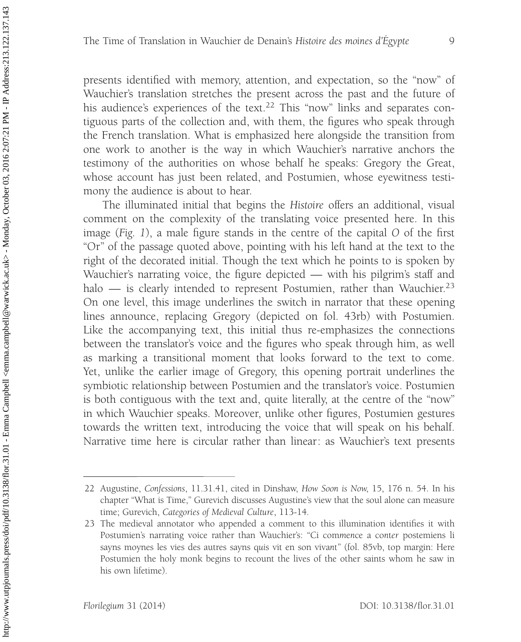presents identified with memory, attention, and expectation, so the ''now'' of Wauchier's translation stretches the present across the past and the future of his audience's experiences of the text.<sup>22</sup> This "now" links and separates contiguous parts of the collection and, with them, the figures who speak through the French translation. What is emphasized here alongside the transition from one work to another is the way in which Wauchier's narrative anchors the testimony of the authorities on whose behalf he speaks: Gregory the Great, whose account has just been related, and Postumien, whose eyewitness testimony the audience is about to hear.

The illuminated initial that begins the Histoire offers an additional, visual comment on the complexity of the translating voice presented here. In this image (Fig. 1), a male figure stands in the centre of the capital O of the first "Or" of the passage quoted above, pointing with his left hand at the text to the right of the decorated initial. Though the text which he points to is spoken by Wauchier's narrating voice, the figure depicted — with his pilgrim's staff and halo — is clearly intended to represent Postumien, rather than Wauchier.<sup>23</sup> On one level, this image underlines the switch in narrator that these opening lines announce, replacing Gregory (depicted on fol. 43rb) with Postumien. Like the accompanying text, this initial thus re-emphasizes the connections between the translator's voice and the figures who speak through him, as well as marking a transitional moment that looks forward to the text to come. Yet, unlike the earlier image of Gregory, this opening portrait underlines the symbiotic relationship between Postumien and the translator's voice. Postumien is both contiguous with the text and, quite literally, at the centre of the ''now'' in which Wauchier speaks. Moreover, unlike other figures, Postumien gestures towards the written text, introducing the voice that will speak on his behalf. Narrative time here is circular rather than linear: as Wauchier's text presents

<sup>22</sup> Augustine, Confessions, 11.31.41, cited in Dinshaw, How Soon is Now, 15, 176 n. 54. In his chapter ''What is Time,'' Gurevich discusses Augustine's view that the soul alone can measure time; Gurevich, Categories of Medieval Culture, 113-14.

<sup>23</sup> The medieval annotator who appended a comment to this illumination identifies it with Postumien's narrating voice rather than Wauchier's: ''Ci commence a conter postemiens li sayns moynes les vies des autres sayns quis vit en son vivant'' (fol. 85vb, top margin: Here Postumien the holy monk begins to recount the lives of the other saints whom he saw in his own lifetime).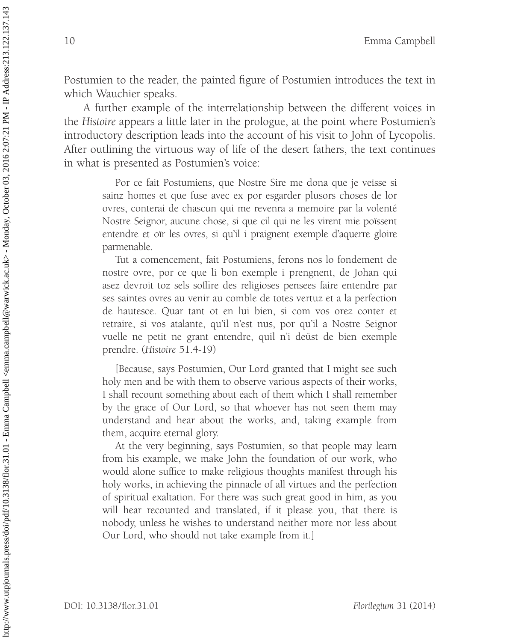Postumien to the reader, the painted figure of Postumien introduces the text in which Wauchier speaks.

A further example of the interrelationship between the different voices in the Histoire appears a little later in the prologue, at the point where Postumien's introductory description leads into the account of his visit to John of Lycopolis. After outlining the virtuous way of life of the desert fathers, the text continues in what is presented as Postumien's voice:

> Por ce fait Postumiens, que Nostre Sire me dona que je veïsse si sainz homes et que fuse avec ex por esgarder plusors choses de lor ovres, conterai de chascun qui me revenra a memoire par la volenté Nostre Seignor, aucune chose, si que cil qui ne les virent mie poïssent entendre et oïr les ovres, si qu'il i praignent exemple d'aquerre gloire parmenable.

> Tut a comencement, fait Postumiens, ferons nos lo fondement de nostre ovre, por ce que li bon exemple i prengnent, de Johan qui asez devroit toz sels soffire des religioses pensees faire entendre par ses saintes ovres au venir au comble de totes vertuz et a la perfection de hautesce. Quar tant ot en lui bien, si com vos orez conter et retraire, si vos atalante, qu'il n'est nus, por qu'il a Nostre Seignor vuelle ne petit ne grant entendre, quil n'i deüst de bien exemple prendre. (Histoire 51.4-19)

> [Because, says Postumien, Our Lord granted that I might see such holy men and be with them to observe various aspects of their works, I shall recount something about each of them which I shall remember by the grace of Our Lord, so that whoever has not seen them may understand and hear about the works, and, taking example from them, acquire eternal glory.

> At the very beginning, says Postumien, so that people may learn from his example, we make John the foundation of our work, who would alone suffice to make religious thoughts manifest through his holy works, in achieving the pinnacle of all virtues and the perfection of spiritual exaltation. For there was such great good in him, as you will hear recounted and translated, if it please you, that there is nobody, unless he wishes to understand neither more nor less about Our Lord, who should not take example from it.]

http://www.utpjournals.press/doi/pdf/10.3138/flor.31.01 - Emma Campbell <emma.campbell@warwick.ac.uk> - Monday, October 03, 2016 2:07:21 PM - IP Address:213.122.137.143 http://www.utpjournals.press/doi/pdf/10.3138/flor.31.01 - Emma Campbell <emma.campbell@warwick.ac.uk> - Monday, October 03, 2016 2:07:21 PM - IP Address:213.1237.143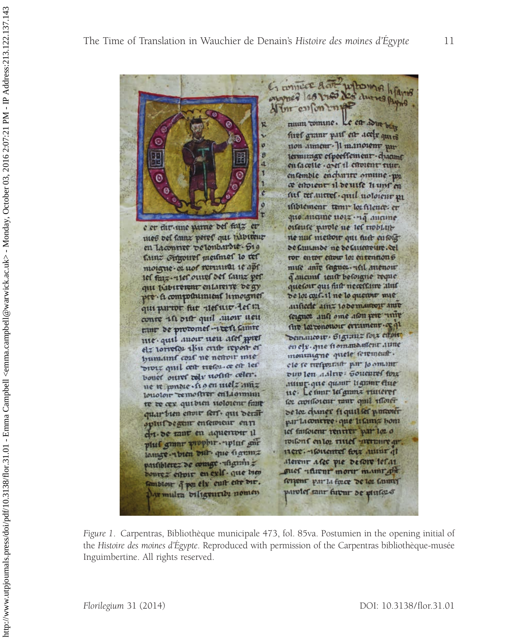6 contrace Act whowas heavis wwwed 149 1743 Not chures Payne Altri culon tuppe ruum tomine. Le ett adue bias ŵ. firef grant part en acely quin non anneur- Ji manoienr pua terminar especssement - chaams я en la celle . a et il estoient tutt. entemble encharte omune - wi a estoient il de uise huns en auf tecantres. quil notoient un mbiement temp lot filence. er que ancune noiz na aucune e er dir une parue del faiz er ortente parole ne let troblatmes vel tamz peres qui n'aviteur ne nuc mettoir qui fust enfoig en lacourre velonbardie. 619 de l'autmoe ne de l'ateneure. cel Cunz Sugonel medinel to tel ror entor enow lor entention 6 moigne-or not remnieu ie apt mue anie segnozi ast auenou 1el faiz-vier ouver det tamz per q'aucuns teutr beforgne reque quetoir qui fiitt necessine aluf qui babirement enlareire de gy pre- li compositiment limoigner de loi cul-il ne lo queunt mie ausiecie am= lodemantori ame qui partor fur vieluivo les in teignoz aust ome aton pere univ conte ist out quil avoir ueu fire lor cononour errament. or qu tur de protomes-reest comte Demancour. Organiz foix et oir me. quil avoir neu afet pres en el y. que fi omma uleur aune et rorretor thu crite report or montaigne quele serement. humaint cout ne nettoir mie diviz quil cett tietoi. ce est les ele se trefportast par lo omant vuv len aalne: Soueures forz bouer ouver rely nother celer. nump. que quant lignant que ne n pondie cho en melz amz louoloir remostrer en Laomuni ue. Le time les guinz ruiterer cor cronsorent taut quil moret te ve cer qui bien uoloient fait quarbien enour fert. qui derait de loz change fi quil les parcour ophil'degent enterrieur enti p.11-la contree que li fama bom let faileient rentiter par loz o chi-de tant en aquertoir il within f entoy ritted mercure ar. plus granr prophir. plus gur 11ere. - Concurret forz animi ql lamge -vibien dur que signinz partiblerez de comge - isignin z alerent afec pie de fore lefat boures eitoir en exis. que bien gues numero more maint give sembloir q poz ely cuit eite dir. corport par la force de lor tanny parolef rant futur de pluses Armulta biligeutibi nomen

Figure 1. Carpentras, Bibliothèque municipale 473, fol. 85va. Postumien in the opening initial of the Histoire des moines d'Egypte. Reproduced with permission of the Carpentras bibliothèque-musée Inguimbertine. All rights reserved.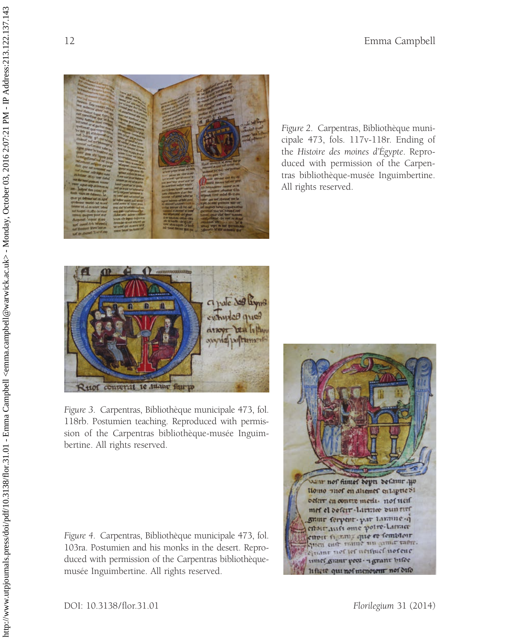

Figure 2. Carpentras, Bibliothèque municipale 473, fols. 117v-118r. Ending of the Histoire des moines d'Égypte. Reproduced with permission of the Carpentras bibliothèque-musée Inguimbertine. All rights reserved.



Figure 3. Carpentras, Bibliothèque municipale 473, fol. 118rb. Postumien teaching. Reproduced with permission of the Carpentras bibliothèque-musée Inguimbertine. All rights reserved.

Figure 4. Carpentras, Bibliothèque municipale 473, fol. 103ra. Postumien and his monks in the desert. Reproduced with permission of the Carpentras bibliothèquemusée Inguimbertine. All rights reserved.

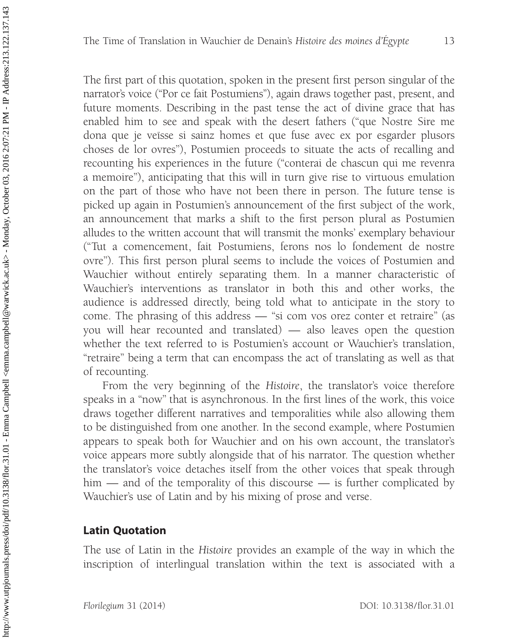The first part of this quotation, spoken in the present first person singular of the narrator's voice (''Por ce fait Postumiens''), again draws together past, present, and future moments. Describing in the past tense the act of divine grace that has enabled him to see and speak with the desert fathers (''que Nostre Sire me dona que je veïsse si sainz homes et que fuse avec ex por esgarder plusors choses de lor ovres''), Postumien proceeds to situate the acts of recalling and recounting his experiences in the future (''conterai de chascun qui me revenra a memoire''), anticipating that this will in turn give rise to virtuous emulation on the part of those who have not been there in person. The future tense is picked up again in Postumien's announcement of the first subject of the work, an announcement that marks a shift to the first person plural as Postumien alludes to the written account that will transmit the monks' exemplary behaviour (''Tut a comencement, fait Postumiens, ferons nos lo fondement de nostre ovre''). This first person plural seems to include the voices of Postumien and Wauchier without entirely separating them. In a manner characteristic of Wauchier's interventions as translator in both this and other works, the audience is addressed directly, being told what to anticipate in the story to come. The phrasing of this address — "si com vos orez conter et retraire" (as you will hear recounted and translated) — also leaves open the question whether the text referred to is Postumien's account or Wauchier's translation, ''retraire'' being a term that can encompass the act of translating as well as that of recounting.

From the very beginning of the Histoire, the translator's voice therefore speaks in a ''now'' that is asynchronous. In the first lines of the work, this voice draws together different narratives and temporalities while also allowing them to be distinguished from one another. In the second example, where Postumien appears to speak both for Wauchier and on his own account, the translator's voice appears more subtly alongside that of his narrator. The question whether the translator's voice detaches itself from the other voices that speak through him — and of the temporality of this discourse — is further complicated by Wauchier's use of Latin and by his mixing of prose and verse.

# Latin Quotation

The use of Latin in the Histoire provides an example of the way in which the inscription of interlingual translation within the text is associated with a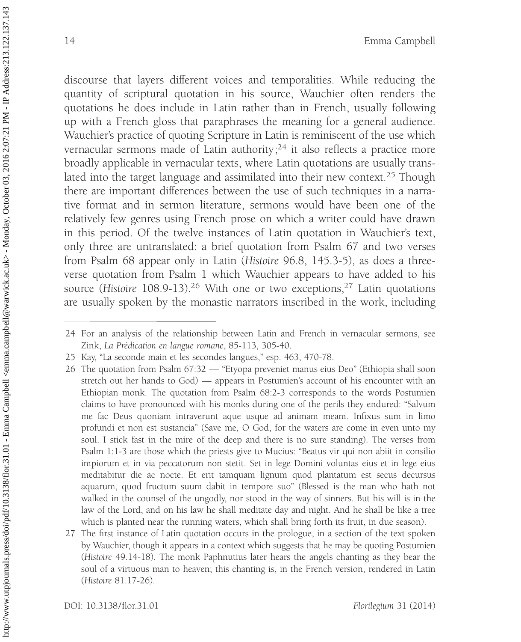discourse that layers different voices and temporalities. While reducing the quantity of scriptural quotation in his source, Wauchier often renders the quotations he does include in Latin rather than in French, usually following up with a French gloss that paraphrases the meaning for a general audience. Wauchier's practice of quoting Scripture in Latin is reminiscent of the use which vernacular sermons made of Latin authority;<sup>24</sup> it also reflects a practice more broadly applicable in vernacular texts, where Latin quotations are usually translated into the target language and assimilated into their new context.<sup>25</sup> Though there are important differences between the use of such techniques in a narrative format and in sermon literature, sermons would have been one of the relatively few genres using French prose on which a writer could have drawn in this period. Of the twelve instances of Latin quotation in Wauchier's text, only three are untranslated: a brief quotation from Psalm 67 and two verses from Psalm 68 appear only in Latin (Histoire 96.8, 145.3-5), as does a threeverse quotation from Psalm 1 which Wauchier appears to have added to his source (Histoire 108.9-13).<sup>26</sup> With one or two exceptions,<sup>27</sup> Latin quotations are usually spoken by the monastic narrators inscribed in the work, including

<sup>24</sup> For an analysis of the relationship between Latin and French in vernacular sermons, see Zink, La Prédication en langue romane, 85-113, 305-40.

<sup>25</sup> Kay, ''La seconde main et les secondes langues,'' esp. 463, 470-78.

<sup>26</sup> The quotation from Psalm 67:32 — ''Etyopa preveniet manus eius Deo'' (Ethiopia shall soon stretch out her hands to God) — appears in Postumien's account of his encounter with an Ethiopian monk. The quotation from Psalm 68:2-3 corresponds to the words Postumien claims to have pronounced with his monks during one of the perils they endured: ''Salvum me fac Deus quoniam intraverunt aque usque ad animam meam. Infixus sum in limo profundi et non est sustancia'' (Save me, O God, for the waters are come in even unto my soul. I stick fast in the mire of the deep and there is no sure standing). The verses from Psalm 1:1-3 are those which the priests give to Mucius: ''Beatus vir qui non abiit in consilio impiorum et in via peccatorum non stetit. Set in lege Domini voluntas eius et in lege eius meditabitur die ac nocte. Et erit tamquam lignum quod plantatum est secus decursus aquarum, quod fructum suum dabit in tempore suo'' (Blessed is the man who hath not walked in the counsel of the ungodly, nor stood in the way of sinners. But his will is in the law of the Lord, and on his law he shall meditate day and night. And he shall be like a tree which is planted near the running waters, which shall bring forth its fruit, in due season).

<sup>27</sup> The first instance of Latin quotation occurs in the prologue, in a section of the text spoken by Wauchier, though it appears in a context which suggests that he may be quoting Postumien (Histoire 49.14-18). The monk Paphnutius later hears the angels chanting as they bear the soul of a virtuous man to heaven; this chanting is, in the French version, rendered in Latin (Histoire 81.17-26).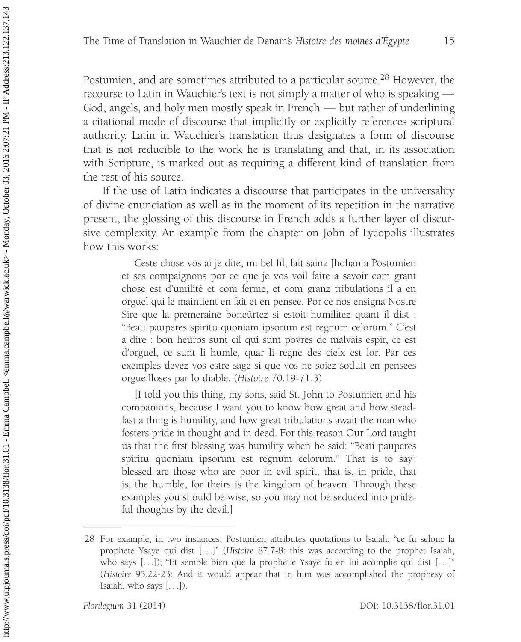Postumien, and are sometimes attributed to a particular source.<sup>28</sup> However, the recourse to Latin in Wauchier's text is not simply a matter of who is speaking — God, angels, and holy men mostly speak in French — but rather of underlining a citational mode of discourse that implicitly or explicitly references scriptural authority. Latin in Wauchier's translation thus designates a form of discourse that is not reducible to the work he is translating and that, in its association with Scripture, is marked out as requiring a different kind of translation from the rest of his source.

If the use of Latin indicates a discourse that participates in the universality of divine enunciation as well as in the moment of its repetition in the narrative present, the glossing of this discourse in French adds a further layer of discursive complexity. An example from the chapter on John of Lycopolis illustrates how this works:

> Ceste chose vos ai je dite, mi bel fil, fait sainz Jhohan a Postumien et ses compaignons por ce que je vos voil faire a savoir com grant chose est d'umilité et com ferme, et com granz tribulations il a en orguel qui le maintient en fait et en pensee. Por ce nos ensigna Nostre Sire que la premeraine boneürtez si estoit humilitez quant il dist : ''Beati pauperes spiritu quoniam ipsorum est regnum celorum.'' C'est a dire : bon heuros sunt cil qui sunt povres de malvais espir, ce est d'orguel, ce sunt li humle, quar li regne des cielx est lor. Par ces exemples devez vos estre sage si que vos ne soiez soduit en pensees orgueilloses par lo diable. (Histoire 70.19-71.3)

> [I told you this thing, my sons, said St. John to Postumien and his companions, because I want you to know how great and how steadfast a thing is humility, and how great tribulations await the man who fosters pride in thought and in deed. For this reason Our Lord taught us that the first blessing was humility when he said: ''Beati pauperes spiritu quoniam ipsorum est regnum celorum.'' That is to say: blessed are those who are poor in evil spirit, that is, in pride, that is, the humble, for theirs is the kingdom of heaven. Through these examples you should be wise, so you may not be seduced into prideful thoughts by the devil.]

<sup>28</sup> For example, in two instances, Postumien attributes quotations to Isaiah: ''ce fu selonc la prophete Ysaye qui dist [. . .]'' (Histoire 87.7-8: this was according to the prophet Isaiah, who says [...]); "Et semble bien que la prophetie Ysaye fu en lui acomplie qui dist [...]" (Histoire 95.22-23: And it would appear that in him was accomplished the prophesy of Isaiah, who says [. . .]).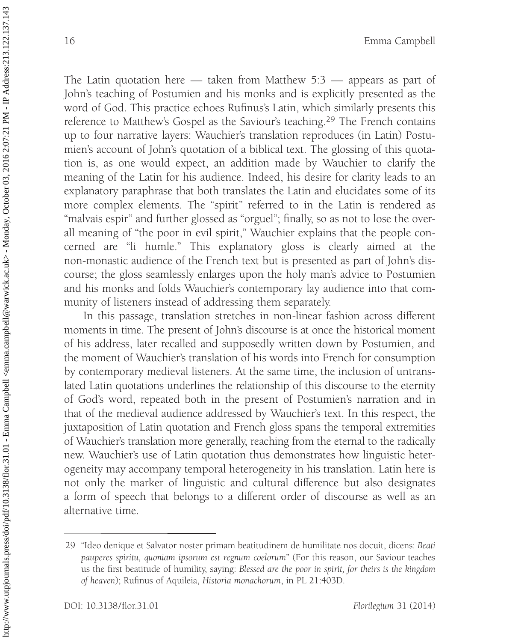The Latin quotation here — taken from Matthew 5:3 — appears as part of John's teaching of Postumien and his monks and is explicitly presented as the word of God. This practice echoes Rufinus's Latin, which similarly presents this reference to Matthew's Gospel as the Saviour's teaching.<sup>29</sup> The French contains up to four narrative layers: Wauchier's translation reproduces (in Latin) Postumien's account of John's quotation of a biblical text. The glossing of this quotation is, as one would expect, an addition made by Wauchier to clarify the meaning of the Latin for his audience. Indeed, his desire for clarity leads to an explanatory paraphrase that both translates the Latin and elucidates some of its more complex elements. The ''spirit'' referred to in the Latin is rendered as "malvais espir" and further glossed as "orguel"; finally, so as not to lose the overall meaning of "the poor in evil spirit," Wauchier explains that the people concerned are ''li humle.'' This explanatory gloss is clearly aimed at the non-monastic audience of the French text but is presented as part of John's discourse; the gloss seamlessly enlarges upon the holy man's advice to Postumien and his monks and folds Wauchier's contemporary lay audience into that community of listeners instead of addressing them separately.

In this passage, translation stretches in non-linear fashion across different moments in time. The present of John's discourse is at once the historical moment of his address, later recalled and supposedly written down by Postumien, and the moment of Wauchier's translation of his words into French for consumption by contemporary medieval listeners. At the same time, the inclusion of untranslated Latin quotations underlines the relationship of this discourse to the eternity of God's word, repeated both in the present of Postumien's narration and in that of the medieval audience addressed by Wauchier's text. In this respect, the juxtaposition of Latin quotation and French gloss spans the temporal extremities of Wauchier's translation more generally, reaching from the eternal to the radically new. Wauchier's use of Latin quotation thus demonstrates how linguistic heterogeneity may accompany temporal heterogeneity in his translation. Latin here is not only the marker of linguistic and cultural difference but also designates a form of speech that belongs to a different order of discourse as well as an alternative time.

<sup>29 &#</sup>x27;'Ideo denique et Salvator noster primam beatitudinem de humilitate nos docuit, dicens: Beati pauperes spiritu, quoniam ipsorum est regnum coelorum'' (For this reason, our Saviour teaches us the first beatitude of humility, saying: Blessed are the poor in spirit, for theirs is the kingdom of heaven); Rufinus of Aquileia, Historia monachorum, in PL 21:403D.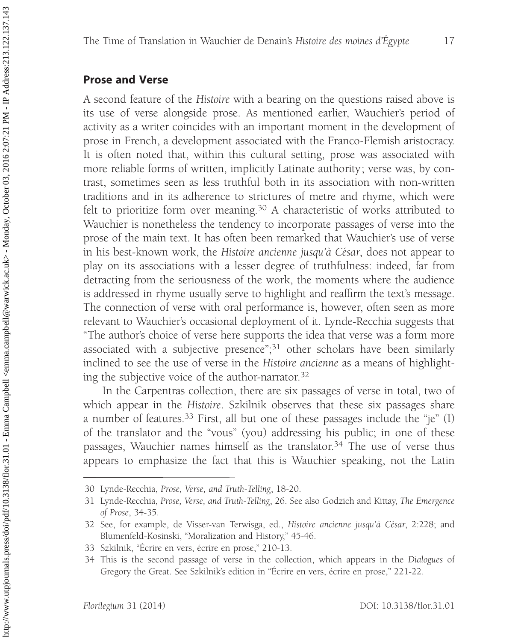#### Prose and Verse

A second feature of the Histoire with a bearing on the questions raised above is its use of verse alongside prose. As mentioned earlier, Wauchier's period of activity as a writer coincides with an important moment in the development of prose in French, a development associated with the Franco-Flemish aristocracy. It is often noted that, within this cultural setting, prose was associated with more reliable forms of written, implicitly Latinate authority; verse was, by contrast, sometimes seen as less truthful both in its association with non-written traditions and in its adherence to strictures of metre and rhyme, which were felt to prioritize form over meaning.<sup>30</sup> A characteristic of works attributed to Wauchier is nonetheless the tendency to incorporate passages of verse into the prose of the main text. It has often been remarked that Wauchier's use of verse in his best-known work, the Histoire ancienne jusqu'à César, does not appear to play on its associations with a lesser degree of truthfulness: indeed, far from detracting from the seriousness of the work, the moments where the audience is addressed in rhyme usually serve to highlight and reaffirm the text's message. The connection of verse with oral performance is, however, often seen as more relevant to Wauchier's occasional deployment of it. Lynde-Recchia suggests that ''The author's choice of verse here supports the idea that verse was a form more associated with a subjective presence";<sup>31</sup> other scholars have been similarly inclined to see the use of verse in the Histoire ancienne as a means of highlighting the subjective voice of the author-narrator.32

In the Carpentras collection, there are six passages of verse in total, two of which appear in the Histoire. Szkilnik observes that these six passages share a number of features.<sup>33</sup> First, all but one of these passages include the "je" (I) of the translator and the ''vous'' (you) addressing his public; in one of these passages, Wauchier names himself as the translator.<sup>34</sup> The use of verse thus appears to emphasize the fact that this is Wauchier speaking, not the Latin

<sup>30</sup> Lynde-Recchia, Prose, Verse, and Truth-Telling, 18-20.

<sup>31</sup> Lynde-Recchia, Prose, Verse, and Truth-Telling, 26. See also Godzich and Kittay, The Emergence of Prose, 34-35.

<sup>32</sup> See, for example, de Visser-van Terwisga, ed., Histoire ancienne jusqu'à César, 2:228; and Blumenfeld-Kosinski, ''Moralization and History,'' 45-46.

<sup>33</sup> Szkilnik, "Ecrire en vers, écrire en prose," 210-13.

<sup>34</sup> This is the second passage of verse in the collection, which appears in the Dialogues of Gregory the Great. See Szkilnik's edition in "Écrire en vers, écrire en prose," 221-22.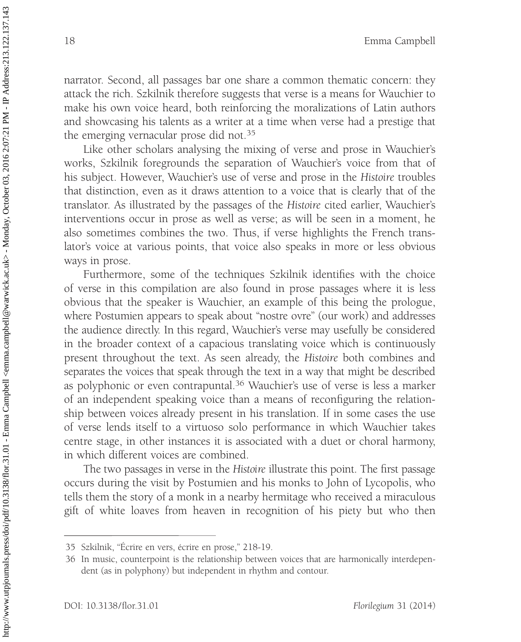narrator. Second, all passages bar one share a common thematic concern: they attack the rich. Szkilnik therefore suggests that verse is a means for Wauchier to make his own voice heard, both reinforcing the moralizations of Latin authors and showcasing his talents as a writer at a time when verse had a prestige that the emerging vernacular prose did not.<sup>35</sup>

Like other scholars analysing the mixing of verse and prose in Wauchier's works, Szkilnik foregrounds the separation of Wauchier's voice from that of his subject. However, Wauchier's use of verse and prose in the Histoire troubles that distinction, even as it draws attention to a voice that is clearly that of the translator. As illustrated by the passages of the Histoire cited earlier, Wauchier's interventions occur in prose as well as verse; as will be seen in a moment, he also sometimes combines the two. Thus, if verse highlights the French translator's voice at various points, that voice also speaks in more or less obvious ways in prose.

Furthermore, some of the techniques Szkilnik identifies with the choice of verse in this compilation are also found in prose passages where it is less obvious that the speaker is Wauchier, an example of this being the prologue, where Postumien appears to speak about "nostre ovre" (our work) and addresses the audience directly. In this regard, Wauchier's verse may usefully be considered in the broader context of a capacious translating voice which is continuously present throughout the text. As seen already, the Histoire both combines and separates the voices that speak through the text in a way that might be described as polyphonic or even contrapuntal.<sup>36</sup> Wauchier's use of verse is less a marker of an independent speaking voice than a means of reconfiguring the relationship between voices already present in his translation. If in some cases the use of verse lends itself to a virtuoso solo performance in which Wauchier takes centre stage, in other instances it is associated with a duet or choral harmony, in which different voices are combined.

The two passages in verse in the Histoire illustrate this point. The first passage occurs during the visit by Postumien and his monks to John of Lycopolis, who tells them the story of a monk in a nearby hermitage who received a miraculous gift of white loaves from heaven in recognition of his piety but who then

http://www.utpjournals.press/doi/pdf/10.3138/flor.31.01 - Emma Campbell <emma.campbell@warwick.ac.uk> - Monday, October 03, 2016 2:07:21 PM - IP Address:213.122.137.143 http://www.utpjournals.press/doi/pdf/10.3138/flor.31.01 - Emma Campbell <emma.campbell@warwick.ac.uk> - Monday, October 03, 2016 2:07:21 PM - IP Address:213.1237.143

<sup>35</sup> Szkilnik, "Écrire en vers, écrire en prose," 218-19.

<sup>36</sup> In music, counterpoint is the relationship between voices that are harmonically interdependent (as in polyphony) but independent in rhythm and contour.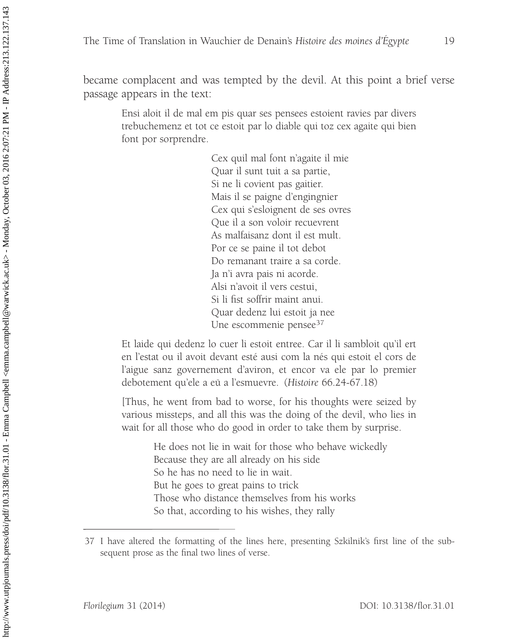became complacent and was tempted by the devil. At this point a brief verse passage appears in the text:

> Ensi aloit il de mal em pis quar ses pensees estoient ravies par divers trebuchemenz et tot ce estoit par lo diable qui toz cex agaite qui bien font por sorprendre.

> > Cex quil mal font n'agaite il mie Quar il sunt tuit a sa partie, Si ne li covient pas gaitier. Mais il se paigne d'engingnier Cex qui s'esloignent de ses ovres Que il a son voloir recuevrent As malfaisanz dont il est mult. Por ce se paine il tot debot Do remanant traire a sa corde. Ja n'i avra pais ni acorde. Alsi n'avoit il vers cestui, Si li fist soffrir maint anui. Quar dedenz lui estoit ja nee Une escommenie pensee<sup>37</sup>

Et laide qui dedenz lo cuer li estoit entree. Car il li sambloit qu'il ert en l'estat ou il avoit devant esté ausi com la nés qui estoit el cors de l'aigue sanz governement d'aviron, et encor va ele par lo premier debotement qu'ele a eü a l'esmuevre. (Histoire 66.24-67.18)

[Thus, he went from bad to worse, for his thoughts were seized by various missteps, and all this was the doing of the devil, who lies in wait for all those who do good in order to take them by surprise.

> He does not lie in wait for those who behave wickedly Because they are all already on his side So he has no need to lie in wait. But he goes to great pains to trick Those who distance themselves from his works So that, according to his wishes, they rally

<sup>37</sup> I have altered the formatting of the lines here, presenting Szkilnik's first line of the subsequent prose as the final two lines of verse.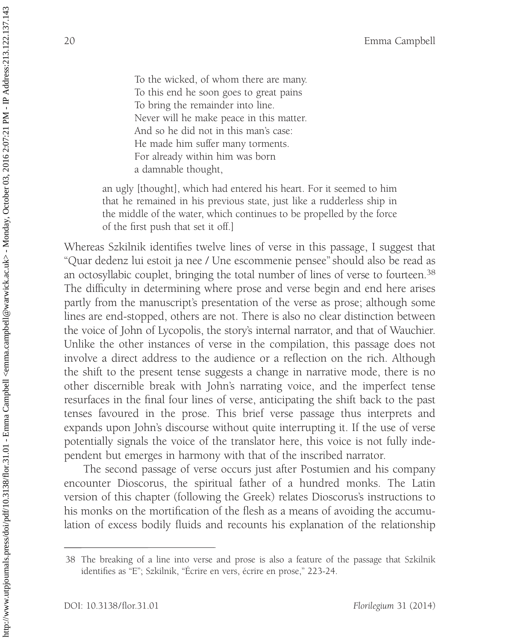To the wicked, of whom there are many. To this end he soon goes to great pains To bring the remainder into line. Never will he make peace in this matter. And so he did not in this man's case: He made him suffer many torments. For already within him was born a damnable thought,

an ugly [thought], which had entered his heart. For it seemed to him that he remained in his previous state, just like a rudderless ship in the middle of the water, which continues to be propelled by the force of the first push that set it off.]

Whereas Szkilnik identifies twelve lines of verse in this passage, I suggest that ''Quar dedenz lui estoit ja nee / Une escommenie pensee'' should also be read as an octosyllabic couplet, bringing the total number of lines of verse to fourteen.<sup>38</sup> The difficulty in determining where prose and verse begin and end here arises partly from the manuscript's presentation of the verse as prose; although some lines are end-stopped, others are not. There is also no clear distinction between the voice of John of Lycopolis, the story's internal narrator, and that of Wauchier. Unlike the other instances of verse in the compilation, this passage does not involve a direct address to the audience or a reflection on the rich. Although the shift to the present tense suggests a change in narrative mode, there is no other discernible break with John's narrating voice, and the imperfect tense resurfaces in the final four lines of verse, anticipating the shift back to the past tenses favoured in the prose. This brief verse passage thus interprets and expands upon John's discourse without quite interrupting it. If the use of verse potentially signals the voice of the translator here, this voice is not fully independent but emerges in harmony with that of the inscribed narrator.

The second passage of verse occurs just after Postumien and his company encounter Dioscorus, the spiritual father of a hundred monks. The Latin version of this chapter (following the Greek) relates Dioscorus's instructions to his monks on the mortification of the flesh as a means of avoiding the accumulation of excess bodily fluids and recounts his explanation of the relationship

<sup>38</sup> The breaking of a line into verse and prose is also a feature of the passage that Szkilnik identifies as "E"; Szkilnik, "Écrire en vers, écrire en prose," 223-24.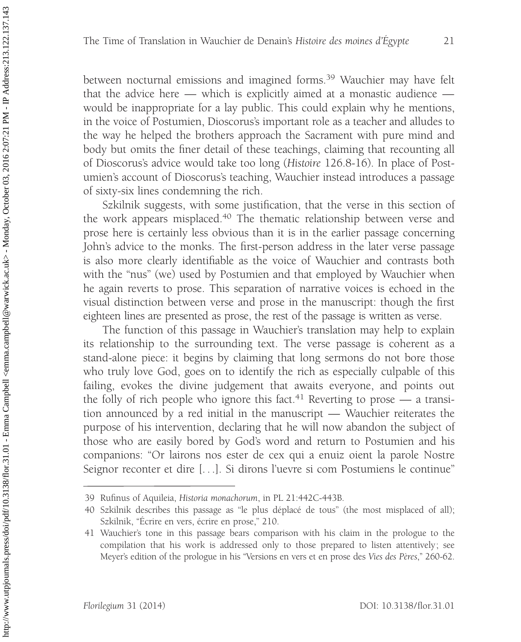between nocturnal emissions and imagined forms.<sup>39</sup> Wauchier may have felt that the advice here — which is explicitly aimed at a monastic audience would be inappropriate for a lay public. This could explain why he mentions, in the voice of Postumien, Dioscorus's important role as a teacher and alludes to the way he helped the brothers approach the Sacrament with pure mind and body but omits the finer detail of these teachings, claiming that recounting all of Dioscorus's advice would take too long (Histoire 126.8-16). In place of Postumien's account of Dioscorus's teaching, Wauchier instead introduces a passage of sixty-six lines condemning the rich.

Szkilnik suggests, with some justification, that the verse in this section of the work appears misplaced.<sup>40</sup> The thematic relationship between verse and prose here is certainly less obvious than it is in the earlier passage concerning John's advice to the monks. The first-person address in the later verse passage is also more clearly identifiable as the voice of Wauchier and contrasts both with the "nus" (we) used by Postumien and that employed by Wauchier when he again reverts to prose. This separation of narrative voices is echoed in the visual distinction between verse and prose in the manuscript: though the first eighteen lines are presented as prose, the rest of the passage is written as verse.

The function of this passage in Wauchier's translation may help to explain its relationship to the surrounding text. The verse passage is coherent as a stand-alone piece: it begins by claiming that long sermons do not bore those who truly love God, goes on to identify the rich as especially culpable of this failing, evokes the divine judgement that awaits everyone, and points out the folly of rich people who ignore this fact.<sup>41</sup> Reverting to prose — a transition announced by a red initial in the manuscript — Wauchier reiterates the purpose of his intervention, declaring that he will now abandon the subject of those who are easily bored by God's word and return to Postumien and his companions: ''Or lairons nos ester de cex qui a enuiz oient la parole Nostre Seignor reconter et dire [. . .]. Si dirons l'uevre si com Postumiens le continue''

<sup>39</sup> Rufinus of Aquileia, Historia monachorum, in PL 21:442C-443B.

<sup>40</sup> Szkilnik describes this passage as "le plus déplacé de tous" (the most misplaced of all); Szkilnik, "Ecrire en vers, écrire en prose," 210.

<sup>41</sup> Wauchier's tone in this passage bears comparison with his claim in the prologue to the compilation that his work is addressed only to those prepared to listen attentively; see Meyer's edition of the prologue in his "Versions en vers et en prose des Vies des Pères," 260-62.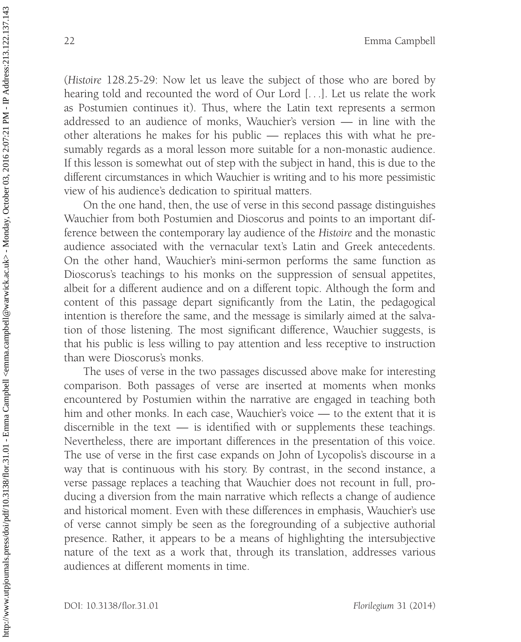(Histoire 128.25-29: Now let us leave the subject of those who are bored by hearing told and recounted the word of Our Lord [. . .]. Let us relate the work as Postumien continues it). Thus, where the Latin text represents a sermon addressed to an audience of monks, Wauchier's version — in line with the other alterations he makes for his public — replaces this with what he presumably regards as a moral lesson more suitable for a non-monastic audience. If this lesson is somewhat out of step with the subject in hand, this is due to the different circumstances in which Wauchier is writing and to his more pessimistic view of his audience's dedication to spiritual matters.

On the one hand, then, the use of verse in this second passage distinguishes Wauchier from both Postumien and Dioscorus and points to an important difference between the contemporary lay audience of the Histoire and the monastic audience associated with the vernacular text's Latin and Greek antecedents. On the other hand, Wauchier's mini-sermon performs the same function as Dioscorus's teachings to his monks on the suppression of sensual appetites, albeit for a different audience and on a different topic. Although the form and content of this passage depart significantly from the Latin, the pedagogical intention is therefore the same, and the message is similarly aimed at the salvation of those listening. The most significant difference, Wauchier suggests, is that his public is less willing to pay attention and less receptive to instruction than were Dioscorus's monks.

The uses of verse in the two passages discussed above make for interesting comparison. Both passages of verse are inserted at moments when monks encountered by Postumien within the narrative are engaged in teaching both him and other monks. In each case, Wauchier's voice — to the extent that it is discernible in the text — is identified with or supplements these teachings. Nevertheless, there are important differences in the presentation of this voice. The use of verse in the first case expands on John of Lycopolis's discourse in a way that is continuous with his story. By contrast, in the second instance, a verse passage replaces a teaching that Wauchier does not recount in full, producing a diversion from the main narrative which reflects a change of audience and historical moment. Even with these differences in emphasis, Wauchier's use of verse cannot simply be seen as the foregrounding of a subjective authorial presence. Rather, it appears to be a means of highlighting the intersubjective nature of the text as a work that, through its translation, addresses various audiences at different moments in time.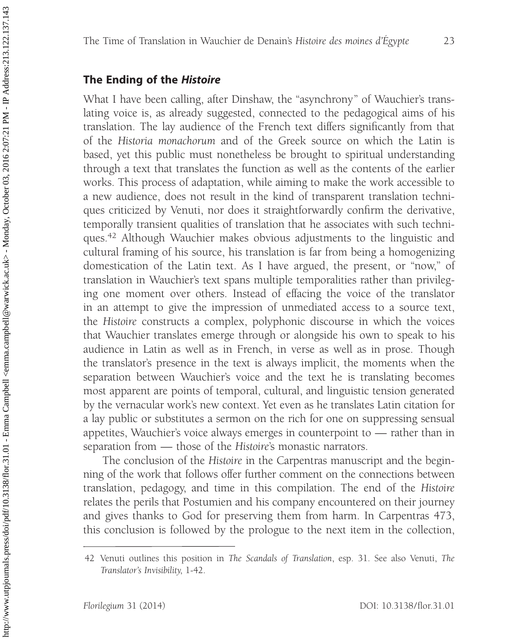## The Ending of the Histoire

What I have been calling, after Dinshaw, the "asynchrony" of Wauchier's translating voice is, as already suggested, connected to the pedagogical aims of his translation. The lay audience of the French text differs significantly from that of the Historia monachorum and of the Greek source on which the Latin is based, yet this public must nonetheless be brought to spiritual understanding through a text that translates the function as well as the contents of the earlier works. This process of adaptation, while aiming to make the work accessible to a new audience, does not result in the kind of transparent translation techniques criticized by Venuti, nor does it straightforwardly confirm the derivative, temporally transient qualities of translation that he associates with such techniques.42 Although Wauchier makes obvious adjustments to the linguistic and cultural framing of his source, his translation is far from being a homogenizing domestication of the Latin text. As I have argued, the present, or "now," of translation in Wauchier's text spans multiple temporalities rather than privileging one moment over others. Instead of effacing the voice of the translator in an attempt to give the impression of unmediated access to a source text, the Histoire constructs a complex, polyphonic discourse in which the voices that Wauchier translates emerge through or alongside his own to speak to his audience in Latin as well as in French, in verse as well as in prose. Though the translator's presence in the text is always implicit, the moments when the separation between Wauchier's voice and the text he is translating becomes most apparent are points of temporal, cultural, and linguistic tension generated by the vernacular work's new context. Yet even as he translates Latin citation for a lay public or substitutes a sermon on the rich for one on suppressing sensual appetites, Wauchier's voice always emerges in counterpoint to — rather than in separation from — those of the Histoire's monastic narrators.

The conclusion of the Histoire in the Carpentras manuscript and the beginning of the work that follows offer further comment on the connections between translation, pedagogy, and time in this compilation. The end of the Histoire relates the perils that Postumien and his company encountered on their journey and gives thanks to God for preserving them from harm. In Carpentras 473, this conclusion is followed by the prologue to the next item in the collection,

<sup>42</sup> Venuti outlines this position in The Scandals of Translation, esp. 31. See also Venuti, The Translator's Invisibility, 1-42.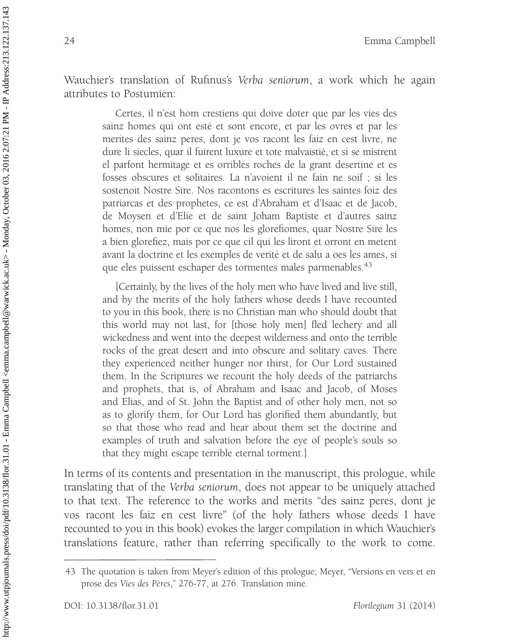Wauchier's translation of Rufinus's Verba seniorum, a work which he again attributes to Postumien:

> Certes, il n'est hom crestiens qui doive doter que par les vies des sainz homes qui ont esté et sont encore, et par les ovres et par les merites des sainz peres, dont je vos racont les faiz en cest livre, ne dure li siecles, quar il fuirent luxure et tote malvaistié, et si se mistrent el parfont hermitage et es orribles roches de la grant desertine et es fosses obscures et solitaires. La n'avoient il ne fain ne soif ; si les sostenoit Nostre Sire. Nos racontons es escritures les saintes foiz des patriarcas et des prophetes, ce est d'Abraham et d'Isaac et de Jacob, de Moysen et d'Elie et de saint Joham Baptiste et d'autres sainz homes, non mie por ce que nos les glorefiomes, quar Nostre Sire les a bien glorefiez, mais por ce que cil qui les liront et orront en metent avant la doctrine et les exemples de verité et de salu a oes les ames, si que eles puissent eschaper des tormentes males parmenables.<sup>43</sup>

> [Certainly, by the lives of the holy men who have lived and live still, and by the merits of the holy fathers whose deeds I have recounted to you in this book, there is no Christian man who should doubt that this world may not last, for [those holy men] fled lechery and all wickedness and went into the deepest wilderness and onto the terrible rocks of the great desert and into obscure and solitary caves. There they experienced neither hunger nor thirst, for Our Lord sustained them. In the Scriptures we recount the holy deeds of the patriarchs and prophets, that is, of Abraham and Isaac and Jacob, of Moses and Elias, and of St. John the Baptist and of other holy men, not so as to glorify them, for Our Lord has glorified them abundantly, but so that those who read and hear about them set the doctrine and examples of truth and salvation before the eye of people's souls so that they might escape terrible eternal torment.]

In terms of its contents and presentation in the manuscript, this prologue, while translating that of the Verba seniorum, does not appear to be uniquely attached to that text. The reference to the works and merits ''des sainz peres, dont je vos racont les faiz en cest livre'' (of the holy fathers whose deeds I have recounted to you in this book) evokes the larger compilation in which Wauchier's translations feature, rather than referring specifically to the work to come.

<sup>43</sup> The quotation is taken from Meyer's edition of this prologue; Meyer, ''Versions en vers et en prose des Vies des Pères," 276-77, at 276. Translation mine.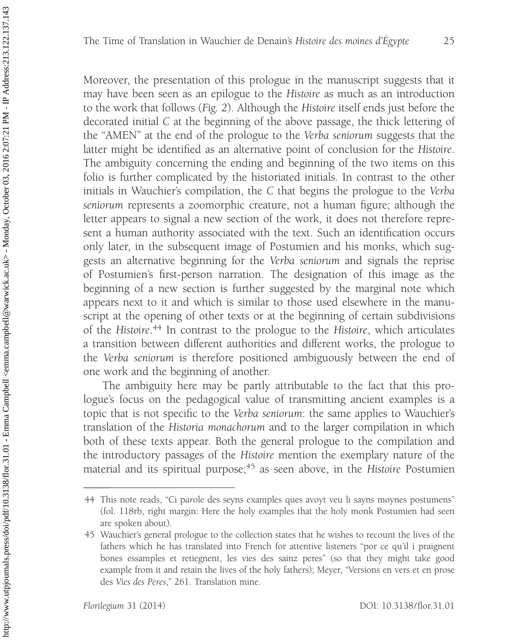Moreover, the presentation of this prologue in the manuscript suggests that it may have been seen as an epilogue to the Histoire as much as an introduction to the work that follows (Fig. 2). Although the Histoire itself ends just before the decorated initial C at the beginning of the above passage, the thick lettering of the ''AMEN'' at the end of the prologue to the Verba seniorum suggests that the latter might be identified as an alternative point of conclusion for the Histoire. The ambiguity concerning the ending and beginning of the two items on this folio is further complicated by the historiated initials. In contrast to the other initials in Wauchier's compilation, the C that begins the prologue to the Verba seniorum represents a zoomorphic creature, not a human figure; although the letter appears to signal a new section of the work, it does not therefore represent a human authority associated with the text. Such an identification occurs only later, in the subsequent image of Postumien and his monks, which suggests an alternative beginning for the Verba seniorum and signals the reprise of Postumien's first-person narration. The designation of this image as the beginning of a new section is further suggested by the marginal note which appears next to it and which is similar to those used elsewhere in the manuscript at the opening of other texts or at the beginning of certain subdivisions of the Histoire.<sup>44</sup> In contrast to the prologue to the Histoire, which articulates a transition between different authorities and different works, the prologue to the Verba seniorum is therefore positioned ambiguously between the end of one work and the beginning of another.

The ambiguity here may be partly attributable to the fact that this prologue's focus on the pedagogical value of transmitting ancient examples is a topic that is not specific to the Verba seniorum: the same applies to Wauchier's translation of the Historia monachorum and to the larger compilation in which both of these texts appear. Both the general prologue to the compilation and the introductory passages of the Histoire mention the exemplary nature of the material and its spiritual purpose;<sup>45</sup> as seen above, in the Histoire Postumien

<sup>44</sup> This note reads, ''Ci parole des seyns examples ques avoyt veu li sayns moynes postumens'' (fol. 118rb, right margin: Here the holy examples that the holy monk Postumien had seen are spoken about).

<sup>45</sup> Wauchier's general prologue to the collection states that he wishes to recount the lives of the fathers which he has translated into French for attentive listeners ''por ce qu'il i praignent bones essamples et retiegnent, les vies des sainz peres'' (so that they might take good example from it and retain the lives of the holy fathers); Meyer, ''Versions en vers et en prose des Vies des Pères," 261. Translation mine.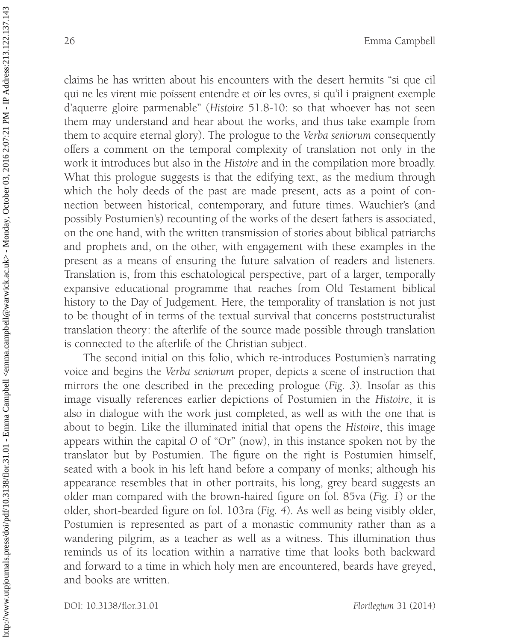claims he has written about his encounters with the desert hermits ''si que cil qui ne les virent mie poïssent entendre et oïr les ovres, si qu'il i praignent exemple d'aquerre gloire parmenable'' (Histoire 51.8-10: so that whoever has not seen them may understand and hear about the works, and thus take example from them to acquire eternal glory). The prologue to the Verba seniorum consequently offers a comment on the temporal complexity of translation not only in the work it introduces but also in the Histoire and in the compilation more broadly. What this prologue suggests is that the edifying text, as the medium through which the holy deeds of the past are made present, acts as a point of connection between historical, contemporary, and future times. Wauchier's (and possibly Postumien's) recounting of the works of the desert fathers is associated, on the one hand, with the written transmission of stories about biblical patriarchs and prophets and, on the other, with engagement with these examples in the present as a means of ensuring the future salvation of readers and listeners. Translation is, from this eschatological perspective, part of a larger, temporally expansive educational programme that reaches from Old Testament biblical history to the Day of Judgement. Here, the temporality of translation is not just to be thought of in terms of the textual survival that concerns poststructuralist translation theory: the afterlife of the source made possible through translation is connected to the afterlife of the Christian subject.

The second initial on this folio, which re-introduces Postumien's narrating voice and begins the Verba seniorum proper, depicts a scene of instruction that mirrors the one described in the preceding prologue (Fig. 3). Insofar as this image visually references earlier depictions of Postumien in the Histoire, it is also in dialogue with the work just completed, as well as with the one that is about to begin. Like the illuminated initial that opens the Histoire, this image appears within the capital  $O$  of "Or" (now), in this instance spoken not by the translator but by Postumien. The figure on the right is Postumien himself, seated with a book in his left hand before a company of monks; although his appearance resembles that in other portraits, his long, grey beard suggests an older man compared with the brown-haired figure on fol. 85va (Fig. 1) or the older, short-bearded figure on fol. 103ra (Fig. 4). As well as being visibly older, Postumien is represented as part of a monastic community rather than as a wandering pilgrim, as a teacher as well as a witness. This illumination thus reminds us of its location within a narrative time that looks both backward and forward to a time in which holy men are encountered, beards have greyed, and books are written.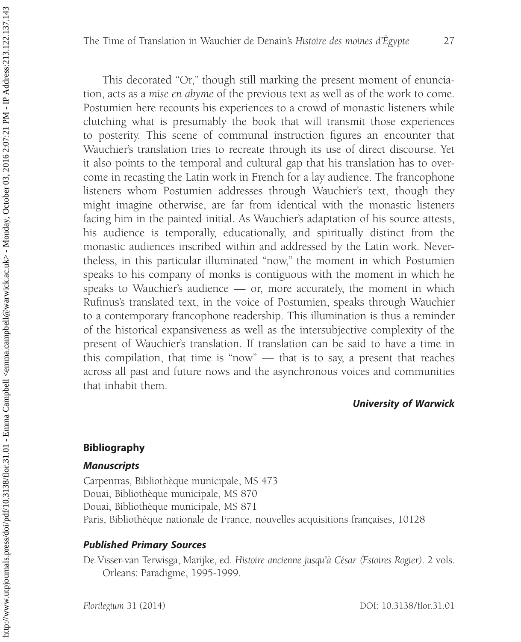This decorated "Or," though still marking the present moment of enunciation, acts as a mise en abyme of the previous text as well as of the work to come. Postumien here recounts his experiences to a crowd of monastic listeners while clutching what is presumably the book that will transmit those experiences to posterity. This scene of communal instruction figures an encounter that Wauchier's translation tries to recreate through its use of direct discourse. Yet it also points to the temporal and cultural gap that his translation has to overcome in recasting the Latin work in French for a lay audience. The francophone listeners whom Postumien addresses through Wauchier's text, though they might imagine otherwise, are far from identical with the monastic listeners facing him in the painted initial. As Wauchier's adaptation of his source attests, his audience is temporally, educationally, and spiritually distinct from the monastic audiences inscribed within and addressed by the Latin work. Nevertheless, in this particular illuminated ''now,'' the moment in which Postumien speaks to his company of monks is contiguous with the moment in which he speaks to Wauchier's audience — or, more accurately, the moment in which Rufinus's translated text, in the voice of Postumien, speaks through Wauchier to a contemporary francophone readership. This illumination is thus a reminder of the historical expansiveness as well as the intersubjective complexity of the present of Wauchier's translation. If translation can be said to have a time in this compilation, that time is ''now'' — that is to say, a present that reaches across all past and future nows and the asynchronous voices and communities that inhabit them.

## University of Warwick

#### Bibliography

## Manuscripts

Carpentras, Bibliothèque municipale, MS 473 Douai, Bibliothèque municipale, MS 870 Douai, Bibliothèque municipale, MS 871 Paris, Bibliothèque nationale de France, nouvelles acquisitions françaises, 10128

## Published Primary Sources

De Visser-van Terwisga, Marijke, ed. Histoire ancienne jusqu'à César (Estoires Rogier). 2 vols. Orleans: Paradigme, 1995-1999.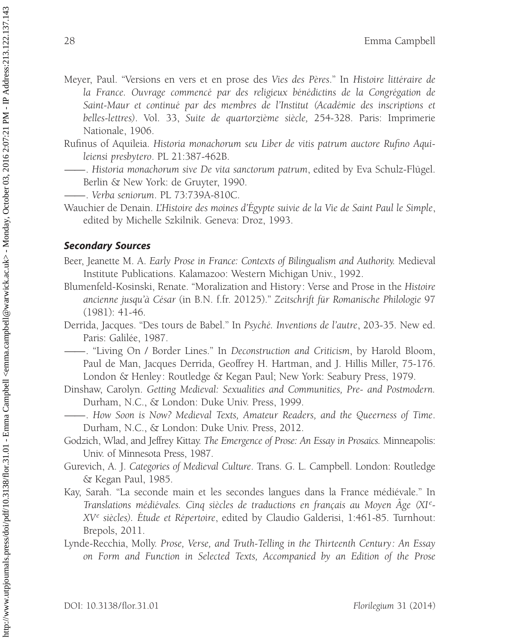- Meyer, Paul. "Versions en vers et en prose des Vies des Pères." In Histoire littéraire de la France. Ouvrage commencé par des religieux bénédictins de la Congrégation de Saint-Maur et continué par des membres de l'Institut (Académie des inscriptions et belles-lettres). Vol. 33, Suite de quartorzième siècle, 254-328. Paris: Imprimerie Nationale, 1906.
- Rufinus of Aquileia. Historia monachorum seu Liber de vitis patrum auctore Rufino Aquileiensi presbytero. PL 21:387-462B.
- —. Historia monachorum sive De vita sanctorum patrum, edited by Eva Schulz-Flügel. Berlin & New York: de Gruyter, 1990.
- ——. Verba seniorum. PL 73:739A-810C.
- Wauchier de Denain. L'Histoire des moines d'Egypte suivie de la Vie de Saint Paul le Simple, edited by Michelle Szkilnik. Geneva: Droz, 1993.

#### Secondary Sources

Beer, Jeanette M. A. Early Prose in France: Contexts of Bilingualism and Authority. Medieval Institute Publications. Kalamazoo: Western Michigan Univ., 1992.

- Blumenfeld-Kosinski, Renate. ''Moralization and History: Verse and Prose in the Histoire ancienne jusqu'à César (in B.N. f.fr. 20125)." Zeitschrift für Romanische Philologie 97 (1981): 41-46.
- Derrida, Jacques. "Des tours de Babel." In Psyché. Inventions de l'autre, 203-35. New ed. Paris: Galilée, 1987.
	- ——. ''Living On / Border Lines.'' In Deconstruction and Criticism, by Harold Bloom, Paul de Man, Jacques Derrida, Geoffrey H. Hartman, and J. Hillis Miller, 75-176. London & Henley: Routledge & Kegan Paul; New York: Seabury Press, 1979.
- Dinshaw, Carolyn. Getting Medieval: Sexualities and Communities, Pre- and Postmodern. Durham, N.C., & London: Duke Univ. Press, 1999.
- ——. How Soon is Now? Medieval Texts, Amateur Readers, and the Queerness of Time. Durham, N.C., & London: Duke Univ. Press, 2012.
- Godzich, Wlad, and Jeffrey Kittay. The Emergence of Prose: An Essay in Prosaics. Minneapolis: Univ. of Minnesota Press, 1987.
- Gurevich, A. J. Categories of Medieval Culture. Trans. G. L. Campbell. London: Routledge & Kegan Paul, 1985.
- Kay, Sarah. "La seconde main et les secondes langues dans la France médiévale." In Translations médiévales. Cinq siècles de traductions en français au Moyen Âge (XI<sup>e</sup>- $XV^e$  siècles). Etude et Répertoire, edited by Claudio Galderisi, 1:461-85. Turnhout: Brepols, 2011.
- Lynde-Recchia, Molly. Prose, Verse, and Truth-Telling in the Thirteenth Century: An Essay on Form and Function in Selected Texts, Accompanied by an Edition of the Prose